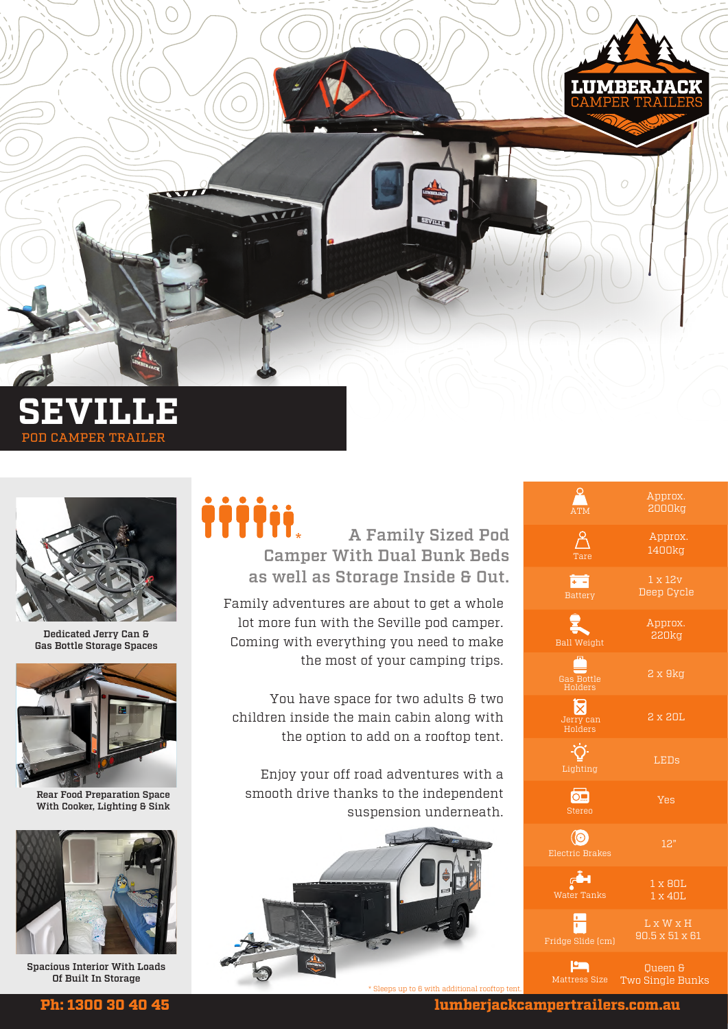

POD CAMPER TRAILER



Dedicated Jerry Can & Gas Bottle Storage Spaces



Rear Food Preparation Space With Cooker, Lighting & Sink



Spacious Interior With Loads Of Built In Storage

## A Family Sized Pod Camper With Dual Bunk Beds as well as Storage Inside & Out. iiiii

Family adventures are about to get a whole lot more fun with the Seville pod camper. Coming with everything you need to make the most of your camping trips.

You have space for two adults & two children inside the main cabin along with the option to add on a rooftop tent.

Enjoy your off road adventures with a smooth drive thanks to the independent suspension underneath.



|                                          | Approx.<br><b>2000kg</b>                |
|------------------------------------------|-----------------------------------------|
| Tare                                     | Approx.<br>1400kg                       |
| E<br><b>Battery</b>                      | $1 \times 12V$<br>Deep Cycle            |
| L<br><b>Ball Weight</b>                  | Approx.<br><b>220kg</b>                 |
| Gas Bottle<br>Holders                    | 2x9kg                                   |
| lx<br>Jerry can<br>Holders               | 2 x 20L                                 |
| Lighting                                 | <b>LEDs</b>                             |
| $\overline{\text{O}}$<br><b>Stereo</b>   | Yes                                     |
| $\circledcirc$<br><b>Electric Brakes</b> | 12"                                     |
| ری<br>اگ<br>Water Tanks                  | 1 x 80L<br>1 x 40L                      |
| $\frac{1}{1}$<br>Fridge Slide (cm)       | $L \times W \times H$<br>90.5 x 51 x 61 |
| صا<br>Mattress Size                      | Queen &<br>Two Single Bunks             |